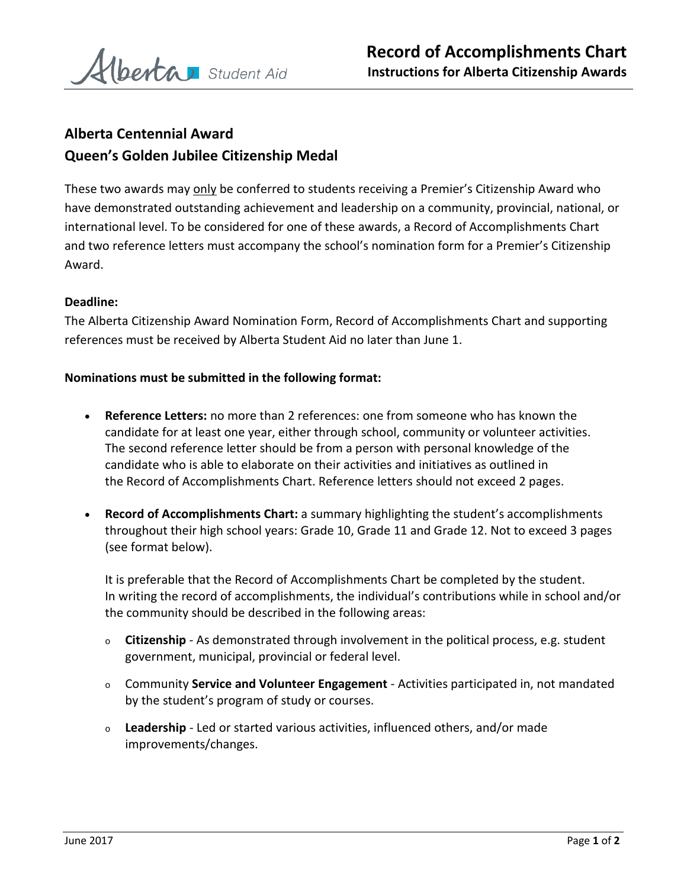

# **Alberta Centennial Award Queen's Golden Jubilee Citizenship Medal**

These two awards may only be conferred to students receiving a Premier's Citizenship Award who have demonstrated outstanding achievement and leadership on a community, provincial, national, or international level. To be considered for one of these awards, a Record of Accomplishments Chart and two reference letters must accompany the school's nomination form for a Premier's Citizenship Award.

## **Deadline:**

The Alberta Citizenship Award Nomination Form, Record of Accomplishments Chart and supporting references must be received by Alberta Student Aid no later than June 1.

#### **Nominations must be submitted in the following format:**

- **Reference Letters:** no more than 2 references: one from someone who has known the candidate for at least one year, either through school, community or volunteer activities. The second reference letter should be from a person with personal knowledge of the candidate who is able to elaborate on their activities and initiatives as outlined in the Record of Accomplishments Chart. Reference letters should not exceed 2 pages.
- **Record of Accomplishments Chart:** a summary highlighting the student's accomplishments throughout their high school years: Grade 10, Grade 11 and Grade 12. Not to exceed 3 pages (see format below).

It is preferable that the Record of Accomplishments Chart be completed by the student. In writing the record of accomplishments, the individual's contributions while in school and/or the community should be described in the following areas:

- <sup>o</sup> **Citizenship** As demonstrated through involvement in the political process, e.g. student government, municipal, provincial or federal level.
- <sup>o</sup> Community **Service and Volunteer Engagement** Activities participated in, not mandated by the student's program of study or courses.
- <sup>o</sup> **Leadership** Led or started various activities, influenced others, and/or made improvements/changes.